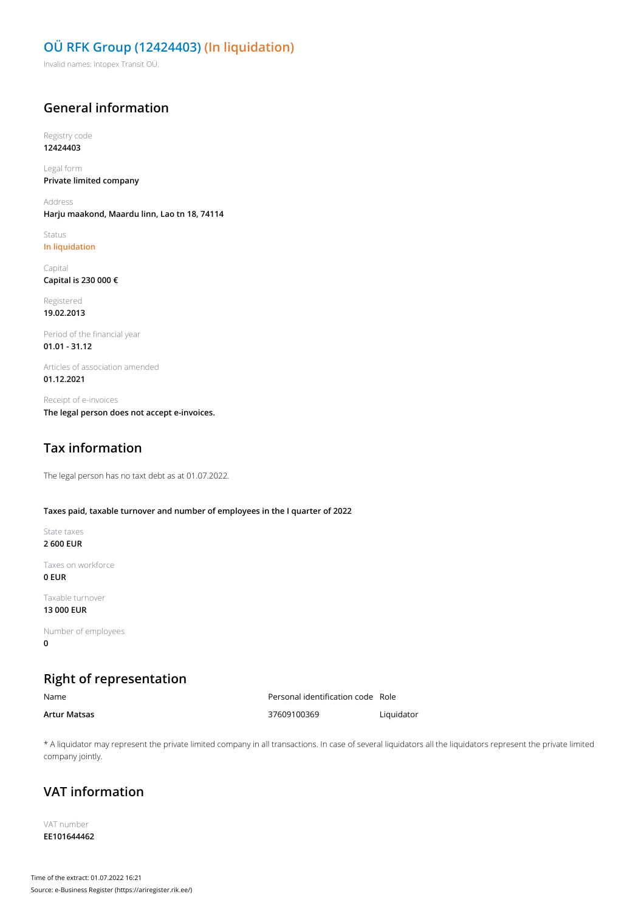### **OÜ RFK Group (12424403) (In liquidation)**

Invalid names: Intopex Transit OÜ.

### **General information**

Registry code **12424403**

Legal form **Private limited company**

Address **Harju maakond, Maardu linn, Lao tn 18, 74114**

Status **In liquidation**

Capital **Capital is 230 000 €**

Registered **19.02.2013**

Period of the financial year **01.01 - 31.12**

Articles of association amended **01.12.2021**

Receipt of e-invoices **The legal person does not accept e-invoices.**

## **Tax information**

The legal person has no taxt debt as at 01.07.2022.

#### **Taxes paid, taxable turnover and number of employees in the I quarter of 2022**

State taxes **2 600 EUR**

Taxes on workforce **0 EUR**

Taxable turnover **13 000 EUR**

Number of employees **0**

# **Right of representation**

Name Personal identification code Role **Artur Matsas** 37609100369 Liquidator

\* A liquidator may represent the private limited company in all transactions. In case of several liquidators all the liquidators represent the private limited company jointly.

# **VAT information**

VAT number **EE101644462**